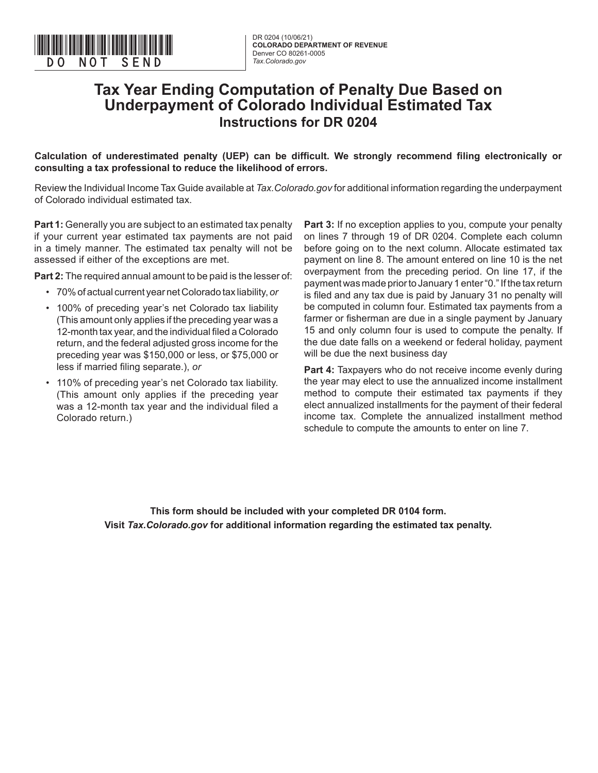

**COLORADO DEPARTMENT OF REVENUE** Denver CO 80261-0005 *Tax.Colorado.gov*

## **Tax Year Ending Computation of Penalty Due Based on Underpayment of Colorado Individual Estimated Tax Instructions for DR 0204**

**Calculation of underestimated penalty (UEP) can be difficult. We strongly recommend filing electronically or consulting a tax professional to reduce the likelihood of errors.**

Review the Individual Income Tax Guide available at *Tax.Colorado.gov* for additional information regarding the underpayment of Colorado individual estimated tax.

**Part 1:** Generally you are subject to an estimated tax penalty if your current year estimated tax payments are not paid in a timely manner. The estimated tax penalty will not be assessed if either of the exceptions are met.

**Part 2:** The required annual amount to be paid is the lesser of:

- 70% of actual current year net Colorado tax liability, *or*
- 100% of preceding year's net Colorado tax liability (This amount only applies if the preceding year was a 12-month tax year, and the individual filed a Colorado return, and the federal adjusted gross income for the preceding year was \$150,000 or less, or \$75,000 or less if married filing separate.), *or*
- 110% of preceding year's net Colorado tax liability. (This amount only applies if the preceding year was a 12-month tax year and the individual filed a Colorado return.)

Part 3: If no exception applies to you, compute your penalty on lines 7 through 19 of DR 0204. Complete each column before going on to the next column. Allocate estimated tax payment on line 8. The amount entered on line 10 is the net overpayment from the preceding period. On line 17, if the payment was made prior to January 1 enter "0." If the tax return is filed and any tax due is paid by January 31 no penalty will be computed in column four. Estimated tax payments from a farmer or fisherman are due in a single payment by January 15 and only column four is used to compute the penalty. If the due date falls on a weekend or federal holiday, payment will be due the next business day

Part 4: Taxpayers who do not receive income evenly during the year may elect to use the annualized income installment method to compute their estimated tax payments if they elect annualized installments for the payment of their federal income tax. Complete the annualized installment method schedule to compute the amounts to enter on line 7.

**This form should be included with your completed DR 0104 form. Visit** *Tax.Colorado.gov* **for additional information regarding the estimated tax penalty.**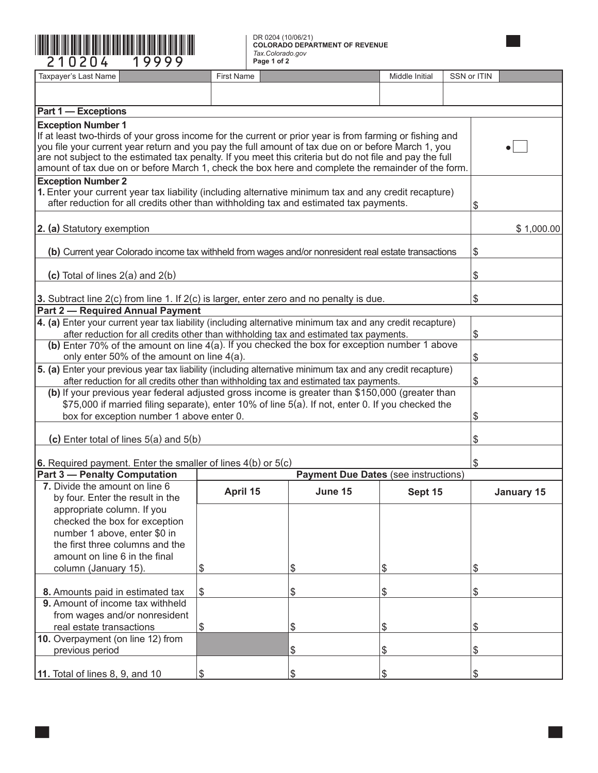

## **COLORADO DEPARTMENT OF REVENUE** *Tax.Colorado.gov* **Page 1 of 2**

×

| Taxpayer's Last Name                                                                                       | First Name |         | Middle Initial |  | SSN or ITIN |            |  |  |
|------------------------------------------------------------------------------------------------------------|------------|---------|----------------|--|-------------|------------|--|--|
|                                                                                                            |            |         |                |  |             |            |  |  |
|                                                                                                            |            |         |                |  |             |            |  |  |
| Part 1 - Exceptions                                                                                        |            |         |                |  |             |            |  |  |
| <b>Exception Number 1</b>                                                                                  |            |         |                |  |             |            |  |  |
| If at least two-thirds of your gross income for the current or prior year is from farming or fishing and   |            |         |                |  |             |            |  |  |
| you file your current year return and you pay the full amount of tax due on or before March 1, you         |            |         |                |  |             |            |  |  |
| are not subject to the estimated tax penalty. If you meet this criteria but do not file and pay the full   |            |         |                |  |             |            |  |  |
| amount of tax due on or before March 1, check the box here and complete the remainder of the form.         |            |         |                |  |             |            |  |  |
| <b>Exception Number 2</b>                                                                                  |            |         |                |  |             |            |  |  |
| 1. Enter your current year tax liability (including alternative minimum tax and any credit recapture)      |            | \$      |                |  |             |            |  |  |
| after reduction for all credits other than withholding tax and estimated tax payments.                     |            |         |                |  |             |            |  |  |
|                                                                                                            |            |         |                |  |             |            |  |  |
| 2. (a) Statutory exemption                                                                                 |            |         |                |  |             | \$1,000.00 |  |  |
|                                                                                                            |            |         |                |  |             |            |  |  |
| (b) Current year Colorado income tax withheld from wages and/or nonresident real estate transactions       |            |         |                |  | \$          |            |  |  |
|                                                                                                            |            |         |                |  |             |            |  |  |
| (c) Total of lines $2(a)$ and $2(b)$                                                                       |            |         |                |  | \$          |            |  |  |
|                                                                                                            |            |         |                |  |             |            |  |  |
| 3. Subtract line 2(c) from line 1. If 2(c) is larger, enter zero and no penalty is due.                    |            |         |                |  |             |            |  |  |
| <b>Part 2 - Required Annual Payment</b>                                                                    |            |         |                |  |             |            |  |  |
| 4. (a) Enter your current year tax liability (including alternative minimum tax and any credit recapture)  |            |         |                |  |             |            |  |  |
| after reduction for all credits other than withholding tax and estimated tax payments.                     |            |         |                |  | \$          |            |  |  |
| (b) Enter 70% of the amount on line 4(a). If you checked the box for exception number 1 above              |            |         |                |  |             |            |  |  |
| only enter 50% of the amount on line 4(a).                                                                 | \$         |         |                |  |             |            |  |  |
| 5. (a) Enter your previous year tax liability (including alternative minimum tax and any credit recapture) |            |         |                |  |             |            |  |  |
| after reduction for all credits other than withholding tax and estimated tax payments.                     | \$         |         |                |  |             |            |  |  |
| (b) If your previous year federal adjusted gross income is greater than \$150,000 (greater than            |            |         |                |  |             |            |  |  |
| \$75,000 if married filing separate), enter 10% of line 5(a). If not, enter 0. If you checked the          |            |         |                |  |             |            |  |  |
| box for exception number 1 above enter 0.                                                                  |            |         |                |  |             |            |  |  |
|                                                                                                            |            |         |                |  |             |            |  |  |
| (c) Enter total of lines $5(a)$ and $5(b)$                                                                 |            |         |                |  | \$          |            |  |  |
|                                                                                                            |            |         |                |  |             |            |  |  |
| \$<br>6. Required payment. Enter the smaller of lines 4(b) or 5(c)                                         |            |         |                |  |             |            |  |  |
| <b>Part 3 - Penalty Computation</b><br><b>Payment Due Dates (see instructions)</b>                         |            |         |                |  |             |            |  |  |
| 7. Divide the amount on line 6                                                                             |            |         |                |  |             |            |  |  |
| by four. Enter the result in the                                                                           | April 15   | June 15 | Sept 15        |  |             | January 15 |  |  |
| appropriate column. If you                                                                                 |            |         |                |  |             |            |  |  |
| checked the box for exception                                                                              |            |         |                |  |             |            |  |  |
| number 1 above, enter \$0 in                                                                               |            |         |                |  |             |            |  |  |
| the first three columns and the                                                                            |            |         |                |  |             |            |  |  |
| amount on line 6 in the final                                                                              |            |         |                |  |             |            |  |  |
| column (January 15).                                                                                       | \$         | \$      | \$             |  | \$          |            |  |  |
|                                                                                                            |            |         |                |  |             |            |  |  |
|                                                                                                            | \$         |         |                |  | \$          |            |  |  |
| 8. Amounts paid in estimated tax<br>9. Amount of income tax withheld                                       |            | \$      | \$             |  |             |            |  |  |
|                                                                                                            |            |         |                |  |             |            |  |  |
| from wages and/or nonresident                                                                              |            |         |                |  |             |            |  |  |
| real estate transactions                                                                                   | \$         | \$      | \$             |  | \$          |            |  |  |
| 10. Overpayment (on line 12) from                                                                          |            |         |                |  |             |            |  |  |
| previous period                                                                                            |            | \$      | \$             |  | \$          |            |  |  |
|                                                                                                            |            |         |                |  |             |            |  |  |
| 11. Total of lines 8, 9, and 10                                                                            | \$         | \$      | \$             |  | \$          |            |  |  |